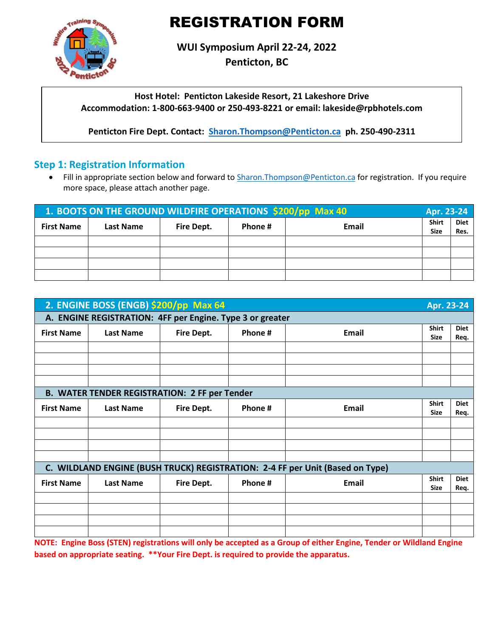# REGISTRATION FORM



**WUI Symposium April 22-24, 2022**

**Penticton, BC**

**Host Hotel: Penticton Lakeside Resort, 21 Lakeshore Drive Accommodation: 1-800-663-9400 or 250-493-8221 or email: lakeside@rpbhotels.com**

**Penticton Fire Dept. Contact: [Sharon.Thompson@Penticton.ca](mailto:Sharon.Thompson@Penticton.ca) ph. 250-490-2311**

## **Step 1: Registration Information**

• Fill in appropriate section below and forward to Sharon. Thompson@Penticton.ca for registration. If you require more space, please attach another page.

| 1. BOOTS ON THE GROUND WILDFIRE OPERATIONS \$200/pp Max 40 |                  |            |         |       |                      | Apr. 23-24   |
|------------------------------------------------------------|------------------|------------|---------|-------|----------------------|--------------|
| <b>First Name</b>                                          | <b>Last Name</b> | Fire Dept. | Phone # | Email | Shirt<br><b>Size</b> | Diet<br>Res. |
|                                                            |                  |            |         |       |                      |              |
|                                                            |                  |            |         |       |                      |              |
|                                                            |                  |            |         |       |                      |              |
|                                                            |                  |            |         |       |                      |              |

|                   | 2. ENGINE BOSS (ENGB) \$200/pp Max 64                     |            |         |                                                                               | Apr. 23-24                  |                     |  |
|-------------------|-----------------------------------------------------------|------------|---------|-------------------------------------------------------------------------------|-----------------------------|---------------------|--|
|                   | A. ENGINE REGISTRATION: 4FF per Engine. Type 3 or greater |            |         |                                                                               |                             |                     |  |
| <b>First Name</b> | <b>Last Name</b>                                          | Fire Dept. | Phone # | <b>Email</b>                                                                  | <b>Shirt</b><br><b>Size</b> | <b>Diet</b><br>Req. |  |
|                   |                                                           |            |         |                                                                               |                             |                     |  |
|                   |                                                           |            |         |                                                                               |                             |                     |  |
|                   |                                                           |            |         |                                                                               |                             |                     |  |
|                   |                                                           |            |         |                                                                               |                             |                     |  |
|                   | <b>B. WATER TENDER REGISTRATION: 2 FF per Tender</b>      |            |         |                                                                               |                             |                     |  |
| <b>First Name</b> | <b>Last Name</b>                                          | Fire Dept. | Phone#  | Email                                                                         | <b>Shirt</b><br><b>Size</b> | <b>Diet</b><br>Req. |  |
|                   |                                                           |            |         |                                                                               |                             |                     |  |
|                   |                                                           |            |         |                                                                               |                             |                     |  |
|                   |                                                           |            |         |                                                                               |                             |                     |  |
|                   |                                                           |            |         |                                                                               |                             |                     |  |
|                   |                                                           |            |         | C. WILDLAND ENGINE (BUSH TRUCK) REGISTRATION: 2-4 FF per Unit (Based on Type) |                             |                     |  |
| <b>First Name</b> | <b>Last Name</b>                                          | Fire Dept. | Phone # | <b>Email</b>                                                                  | <b>Shirt</b><br><b>Size</b> | <b>Diet</b><br>Req. |  |
|                   |                                                           |            |         |                                                                               |                             |                     |  |
|                   |                                                           |            |         |                                                                               |                             |                     |  |
|                   |                                                           |            |         |                                                                               |                             |                     |  |
|                   |                                                           |            |         |                                                                               |                             |                     |  |

**NOTE: Engine Boss (STEN) registrations will only be accepted as a Group of either Engine, Tender or Wildland Engine based on appropriate seating. \*\*Your Fire Dept. is required to provide the apparatus.**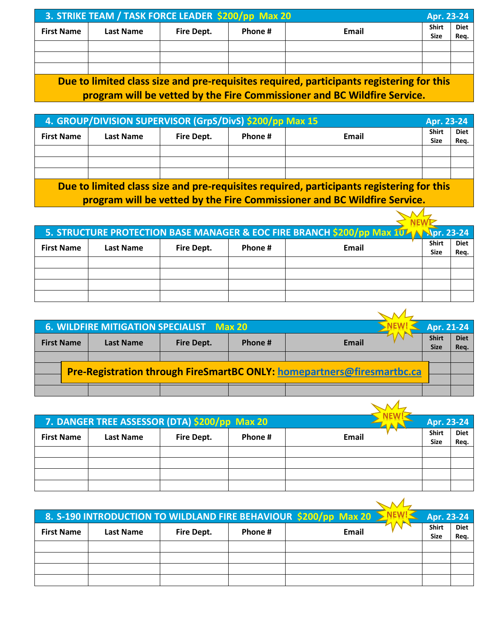| 3. STRIKE TEAM / TASK FORCE LEADER \$200/pp Max 20 |                                                                                         |            | Apr. 23-24 |       |             |      |  |
|----------------------------------------------------|-----------------------------------------------------------------------------------------|------------|------------|-------|-------------|------|--|
| <b>First Name</b>                                  | <b>Last Name</b>                                                                        | Fire Dept. | Phone #    | Email | Shirt       | Diet |  |
|                                                    |                                                                                         |            |            |       | <b>Size</b> | Reg. |  |
|                                                    |                                                                                         |            |            |       |             |      |  |
|                                                    |                                                                                         |            |            |       |             |      |  |
|                                                    |                                                                                         |            |            |       |             |      |  |
|                                                    | Due to limited class size and are requisites required porticipants registering for this |            |            |       |             |      |  |

**Due to limited class size and pre-requisites required, participants registering for this program will be vetted by the Fire Commissioner and BC Wildfire Service.**

| 4. GROUP/DIVISION SUPERVISOR (GrpS/DivS) \$200/pp Max 15 |           |            |         |                                                                                          | Apr. 23-24           |                     |
|----------------------------------------------------------|-----------|------------|---------|------------------------------------------------------------------------------------------|----------------------|---------------------|
| <b>First Name</b>                                        | Last Name | Fire Dept. | Phone # | Email                                                                                    | Shirt<br><b>Size</b> | <b>Diet</b><br>Reg. |
|                                                          |           |            |         |                                                                                          |                      |                     |
|                                                          |           |            |         |                                                                                          |                      |                     |
|                                                          |           |            |         |                                                                                          |                      |                     |
|                                                          |           |            |         | Due to limited class size and pre-requisites required, participants registering for this |                      |                     |

<u>band pre-requisites required, participants registering for</u> **program will be vetted by the Fire Commissioner and BC Wildfire Service.**

|                   |                  |            |         | 5. STRUCTURE PROTECTION BASE MANAGER & EOC FIRE BRANCH \$200/pp Max 104 N Spr. 23-24 |                             |                     |
|-------------------|------------------|------------|---------|--------------------------------------------------------------------------------------|-----------------------------|---------------------|
| <b>First Name</b> | <b>Last Name</b> | Fire Dept. | Phone # | Email                                                                                | <b>Shirt</b><br><b>Size</b> | <b>Diet</b><br>Req. |
|                   |                  |            |         |                                                                                      |                             |                     |
|                   |                  |            |         |                                                                                      |                             |                     |
|                   |                  |            |         |                                                                                      |                             |                     |
|                   |                  |            |         |                                                                                      |                             |                     |

|                   | 6. WILDFIRE MITIGATION SPECIALIST Max 20 |                  |                   |         | Apr. 21-24                                                                    |                             |                     |
|-------------------|------------------------------------------|------------------|-------------------|---------|-------------------------------------------------------------------------------|-----------------------------|---------------------|
| <b>First Name</b> |                                          | <b>Last Name</b> | <b>Fire Dept.</b> | Phone # | <b>Email</b>                                                                  | <b>Shirt</b><br><b>Size</b> | <b>Diet</b><br>Req. |
|                   |                                          |                  |                   |         |                                                                               |                             |                     |
|                   |                                          |                  |                   |         | <b>Pre-Registration through FireSmartBC ONLY: homepartners@firesmartbc.ca</b> |                             |                     |
|                   |                                          |                  |                   |         |                                                                               |                             |                     |
|                   |                                          |                  |                   |         |                                                                               |                             |                     |

|                   | 7. DANGER TREE ASSESSOR (DTA) \$200/pp Max 20 |                   |         |       | Apr. 23-24                  |                     |
|-------------------|-----------------------------------------------|-------------------|---------|-------|-----------------------------|---------------------|
| <b>First Name</b> | <b>Last Name</b>                              | <b>Fire Dept.</b> | Phone # | Email | <b>Shirt</b><br><b>Size</b> | <b>Diet</b><br>Req. |
|                   |                                               |                   |         |       |                             |                     |
|                   |                                               |                   |         |       |                             |                     |
|                   |                                               |                   |         |       |                             |                     |
|                   |                                               |                   |         |       |                             |                     |

|                   |                  |            |         | 8. S-190 INTRODUCTION TO WILDLAND FIRE BEHAVIOUR \$200/pp Max 20 > | Apr. 23-24                  |                     |
|-------------------|------------------|------------|---------|--------------------------------------------------------------------|-----------------------------|---------------------|
| <b>First Name</b> | <b>Last Name</b> | Fire Dept. | Phone # | <b>Email</b>                                                       | <b>Shirt</b><br><b>Size</b> | <b>Diet</b><br>Req. |
|                   |                  |            |         |                                                                    |                             |                     |
|                   |                  |            |         |                                                                    |                             |                     |
|                   |                  |            |         |                                                                    |                             |                     |
|                   |                  |            |         |                                                                    |                             |                     |